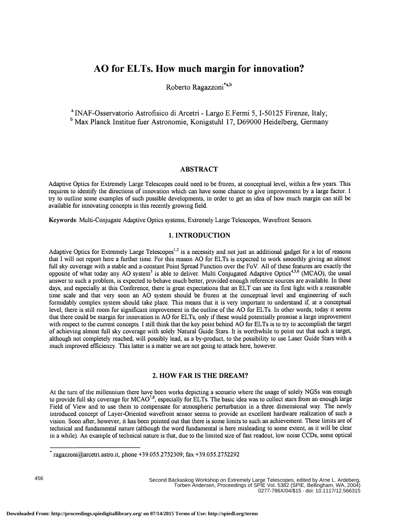# AO for ELTs. How much margin for innovation?

Roberto Ragazzoni\*

<sup>a</sup> INAF-Osservatorio Astrofisico di Arcetri - Largo E.Fermi 5, I-50125 Firenze, Italy; <sup>b</sup> Max Planck Institue fuer Astronomie, Konigstuhl 17, D69000 Heidelberg, Germany

# ABSTRACT

Adaptive Optics for Extremely Large Telescopes could need to be frozen, at conceptual level, within a few years. This requires to identify the directions of innovation which can have some chance to give improvement by a large factor. I try to outline some examples of such possible developments, in order to get an idea of how much margin can still be available for innovating concepts in this recently growing field.

Keywords: Multi-Conjugate Adaptive Optics systems, Extremely Large Telescopes, Wavefront Sensors.

## 1. INTRODUCTION

Adaptive Optics for Extremely Large Telescopes<sup>1,2</sup> is a necessity and not just an additional gadget for a lot of reasons that I will not report here a further time. For this reason AO for ELTs is expected to work smoothly giving an almost full sky coverage with a stable and a constant Point Spread Function over the FoV. All of these features are exactly the opposite of what today any AO system<sup>3</sup> is able to deliver. Multi Conjugated Adaptive Optics<sup>4,5,6</sup> (MCAO), the usual answer to such a problem, is expected to behave much better, provided enough reference sources are available. In these days, and especially at this Conference, there is great expectations that an ELT can see its first light with a reasonable time scale and that very soon an AO system should be frozen at the conceptual level and engineering of such formidably complex system should take place. This means that it is very important to understand if, at a conceptual level, there is still room for significant improvement in the outline of the AO for ELTs. In other words, today it seems that there could be margin for innovation in AO for ELTs, only ifthese would potentially promise a large improvement with respect to the current concepts. I still think that the key point behind AO for ELTs is to try to accomplish the target of achieving almost full sky coverage with solely Natural Guide Stars. It is worthwhile to point out that such a target, although not completely reached, will possibly lead, as a by-product, to the possibility to use Laser Guide Stars with a much improved efficiency. This latter is a matter we are not going to attack here, however.

# 2. HOW FAR IS THE DREAM?

At the turn of the millennium there have been works depicting a scenario where the usage of solely NGSs was enough to provide full sky coverage for  $MCAO^{7,8}$ , especially for ELTs. The basic idea was to collect stars from an enough large Field of View and to use them to compensate for atmospheric perturbation in a three dimensional way. The newly introduced concept of Layer-Oriented wavefront sensor seems to provide an excellent hardware realization of such a vision. Soon after, however, it has been pointed out that there is some limits to such an achievement. These limits are of technical and fundamental nature (although the word fundamental is here misleading to some extent, as it will be clear in a while). An example of technical nature is that, due to the limited size of fast readout, low noise CCDs, some optical

Second Bäckaskog Workshop on Extremely Large Telescopes, edited by Arne L. Ardeberg, Torben Andersen, Proceedings of SPIE Vol. 5382 (SPIE, Bellingham, WA, 2004) 0277-786X/04/\$15 · doi: 10.1117/12.566315

ragazzoni@arcetri.astro.it, phone +39.055.2752309; fax +39.055.2752292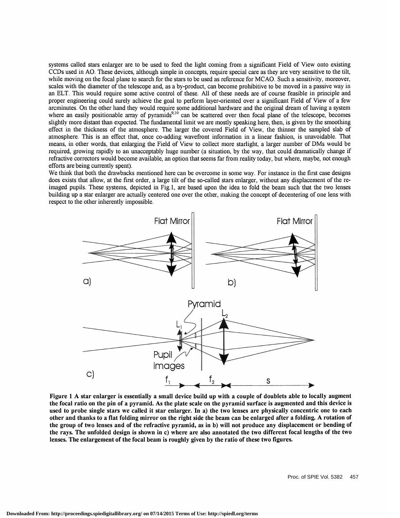systems called stars enlarger are to be used to feed the light coming from a significant Field of View onto existing CCDs used in AO. These devices, although simple in concepts, require special care as they are very sensitive to the tilt, while moving on the focal plane to search for the stars to be used as reference for MCAO. Such a sensitivity, moreover, scales with the diameter of the telescope and, as a by-product, can become prohibitive to be moved in a passive way in an ELT. This would require some active control of these. All of these needs are of course feasible in principle and proper engineering could surely achieve the goal to perform layer-oriented over a significant Field of View of a few arcminutes. On the other hand they would require some additional hardware and the original dream of having a system where an easily positionable array of pyramids<sup>9,10</sup> can be scattered over then focal plane of the telescope, becomes slightly more distant than expected. The fundamental limit we are mostly speaking here, then, is given by the smoothing effect in the thickness of the atmosphere. The larger the covered Field of View, the thinner the sampled slab of atmosphere. This is an effect that, once co-adding wavefront information in a linear fashion, is unavoidable. That means, in other words, that enlarging the Field of View to collect more starlight, a larger number of DMs would be required, growing rapidly to an unacceptably huge number (a situation, by the way, that could dramatically change if refractive correctors would become available, an option that seems far from reality today, but where, maybe, not enough efforts are being currently spent).

We think that both the drawbacks mentioned here can be overcome in some way. For instance in the first case designs does exists that allow, at the first order, a large tilt of the so-called stars enlarger, without any displacement of the reimaged pupils. These systems, depicted in Fig. 1, are based upon the idea to fold the beam such that the two lenses building up a star enlarger are actually centered one over the other, making the concept of decentering of one lens with respect to the other inherently impossible.



Figure 1 A star enlarger is essentially a small device build up with a couple of doublets able to locally augment the focal ratio on the pin of a pyramid. As the plate scale on the pyramid surface is augmented and this device is used to probe single stars we called it star enlarger. In a) the two lenses are physically concentric one to each other and thanks to a flat folding mirror on the right side the beam can be enlarged after a folding. A rotation of the group of two lenses and of the refractive pyramid, as in b) will not produce any displacement or bending of the rays. The unfolded design is shown in c) where are also annotated the two different focal lengths of the two lenses. The enlargement of the focal beam is roughly given by the ratio of these two figures.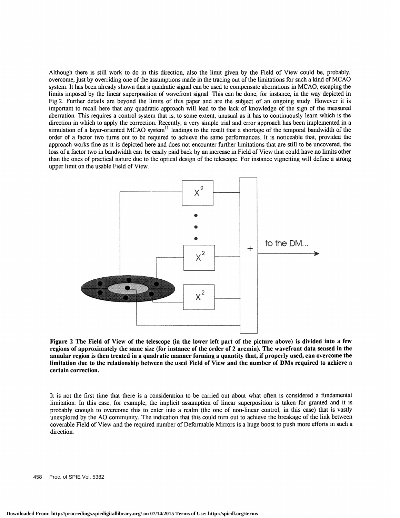Although there is still work to do in this direction, also the limit given by the Field of View could be, probably, overcome, just by overriding one of the assumptions made in the tracing out of the limitations for such a kind of MCAO system. It has been already shown that a quadratic signal can be used to compensate aberrations in MCAO, escaping the limits imposed by the linear superposition of wavefront signal. This can be done, for instance, in the way depicted in Fig.2. Further details are beyond the limits of this paper and are the subject of an ongoing study. However it is important to recall here that any quadratic approach will lead to the lack of knowledge of the sign of the measured aberration. This requires a control system that is, to some extent, unusual as it has to continuously learn which is the direction in which to apply the correction. Recently, a very simple trial and error approach has been implemented in a simulation of a layer-oriented MCAO system<sup>11</sup> leadings to the result that a shortage of the temporal bandwidth of the order of a factor two turns out to be required to achieve the same performances. It is noticeable that, provided the approach works fine as it is depicted here and does not encounter further limitations that are still to be uncovered, the loss of a factor two in bandwidth can be easily paid back by an increase in Field of View that could have no limits other than the ones of practical nature due to the optical design of the telescope. For instance vignetting will define a strong upper limit on the usable Field of View.



Figure 2 The Field of View of the telescope (in the lower left part of the picture above) is divided into a few regions of approximately the same size (for instance of the order of 2 arcmin). The wavefront data sensed in the annular region is then treated in a quadratic manner forming a quantity that, if properly used, can overcome the limitation due to the relationship between the used Field of View and the number of DMs required to achieve a certain correction.

It is not the first time that there is a consideration to be carried out about what often is considered a fundamental limitation. In this case, for example, the implicit assumption of linear superposition is taken for granted and it is probably enough to overcome this to enter into a realm (the one of non-linear control, in this case) that is vastly unexplored by the AO community. The indication that this could turn out to achieve the breakage of the link between coverable Field of View and the required number of Deformable Mirrors is a huge boost to push more efforts in such a direction.

458 Proc. of SPIE Vol. 5382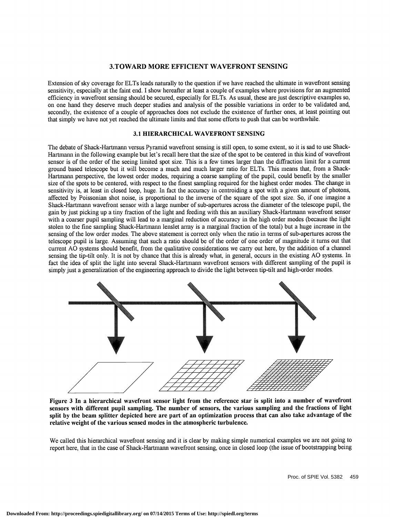# 3.TOWARD MORE EFFICIENT WAVEFRONT SENSING

Extension of sky coverage for ELTs leads naturally to the question if we have reached the ultimate in wavefront sensing sensitivity, especially at the faint end. I show hereafter at least a couple of examples where provisions for an augmented efficiency in wavefront sensing should be secured, especially for ELTs. As usual, these are just descriptive examples so, on one hand they deserve much deeper studies and analysis of the possible variations in order to be validated and, secondly, the existence of a couple of approaches does not exclude the existence of further ones, at least pointing out that simply we have not yet reached the ultimate limits and that some efforts to push that can be worthwhile.

#### 3.1 HIERARCHICAL WAVEFRONT SENSING

The debate of Shack-Hartmann versus Pyramid wavefront sensing is still open, to some extent, so it is sad to use Shack-Hartmann in the following example but let' s recall here that the size of the spot to be centered in this kind of wavefront sensor is of the order of the seeing limited spot size. This is a few times larger than the diffraction limit for a current ground based telescope but it will become a much and much larger ratio for ELTs. This means that, from a Shack-Hartmann perspective, the lowest order modes, requiring a coarse sampling of the pupil, could benefit by the smaller size of the spots to be centered, with respect to the finest sampling required for the highest order modes. The change in sensitivity is, at least in closed loop, huge. In fact the accuracy in centroiding a spot with a given amount of photons, affected by Poissonian shot noise, is proportional to the inverse of the square of the spot size. So, if one imagine a Shack-Hartmann wavefront sensor with a large number of sub-apertures across the diameter of the telescope pupil, the gain by just picking up a tiny fraction of the light and feeding with this an auxiliary Shack-Hartmann wavefront sensor with a coarser pupil sampling will lead to a marginal reduction of accuracy in the high order modes (because the light stolen to the fine sampling Shack-Hartmann lenslet array is a marginal fraction of the total) but a huge increase in the sensing of the low order modes. The above statement is correct only when the ratio in terms of sub-apertures across the telescope pupil is large. Assuming that such a ratio should be of the order of one order of magnitude it turns out that current AO systems should benefit, from the qualitative considerations we carry out here, by the addition of a channel sensing the tip-tilt only. It is not by chance that this is already what, in general, occurs in the existing AO systems. In fact the idea of split the light into several Shack-Hartmann wavefront sensors with different sampling of the pupil is simply just a generalization of the engineering approach to divide the light between tip-tilt and high-order modes.



Figure 3 In a hierarchical wavefront sensor light from the reference star is split into a number of wavefront sensors with different pupil sampling. The number of sensors, the various sampling and the fractions of light split by the beam splitter depicted here are part of an optimization process that can also take advantage of the relative weight of the various sensed modes in the atmospheric turbulence.

We called this hierarchical wavefront sensing and it is clear by making simple numerical examples we are not going to report here, that in the case of Shack-Hartmann wavefront sensing, once in closed loop (the issue of bootstrapping being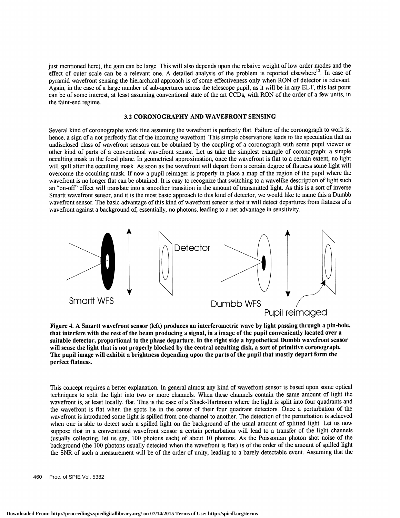just mentioned here), the gain can be large. This will also depends upon the relative weight of low order modes and the effect of outer scale can be a relevant one. A detailed analysis of the problem is reported elsewhere $12$ . In case of pyramid wavefront sensing the hierarchical approach is of some effectiveness only when RON of detector is relevant. Again, in the case of a large number of sub-apertures across the telescope pupil, as it will be in any ELT, this last point can be of some interest, at least assuming conventional state of the art CCDs, with RON of the order of a few units, in the faint-end regime.

### 3.2 CORONOGRAPHY AND WAVEFRONT SENSING

Several kind of coronographs work fine assuming the wavefront is perfectly flat. Failure of the coronograph to work is, hence, a sign of a not perfectly flat of the incoming wavefront. This simple observations leads to the speculation that an undisclosed class of wavefront sensors can be obtained by the coupling of a coronograph with some pupil viewer or other kind of parts of a conventional wavefront sensor. Let us take the simplest example of coronograph: a simple occulting mask in the focal plane. In geometrical approximation, once the wavefront is flat to a certain extent, no light will spill after the occulting mask. As soon as the wavefront will depart from a certain degree of flatness some light will overcome the occulting mask. If now a pupil reimager is properly in place a map of the region of the pupil where the wavefront is no longer flat can be obtained. It is easy to recognize that switching to a wavelike description of light such an "on-off' effect will translate into a smoother transition in the amount of transmitted light. As this is a sort of inverse Smartt wavefront sensor, and it is the most basic approach to this kind of detector, we would like to name this a Dumbb wavefront sensor. The basic advantage of this kind of wavefront sensor is that it will detect departures from flatness of a wavefront against a background of, essentially, no photons, leading to a net advantage in sensitivity.



Figure 4. A Smartt wavefront sensor (left) produces an interferometric wave by light passing through a pin-hole, that interfere with the rest of the beam producing a signal, in a image of the pupil conveniently located over a suitable detector, proportional to the phase departure. In the right side a hypothetical Dumbb wavefront sensor will sense the light that is not properly blocked by the central occulting disk, a sort of primitive coronograph. The pupil image will exhibit a brightness depending upon the parts of the pupil that mostly depart form the perfect flatness.

This concept requires a better explanation. In general almost any kind of wavefront sensor is based upon some optical techniques to split the light into two or more channels. When these channels contain the same amount of light the wavefront is, at least locally, flat. This is the case of a Shack-Hartmann where the light is split into four quadrants and the wavefront is flat when the spots lie in the center of their four quadrant detectors. Once a perturbation of the wavefront is introduced some light is spilled from one channel to another. The detection of the perturbation is achieved when one is able to detect such a spilled light on the background of the usual amount of splitted light. Let us now suppose that in a conventional wavefront sensor a certain perturbation will lead to a transfer of the light channels (usually collecting, let us say, 100 photons each) of about 10 photons. As the Poissonian photon shot noise of the background (the 100 photons usually detected when the wavefront is flat) is of the order of the amount of spilled light the SNR of such a measurement will be of the order of unity, leading to a barely detectable event. Assuming that the